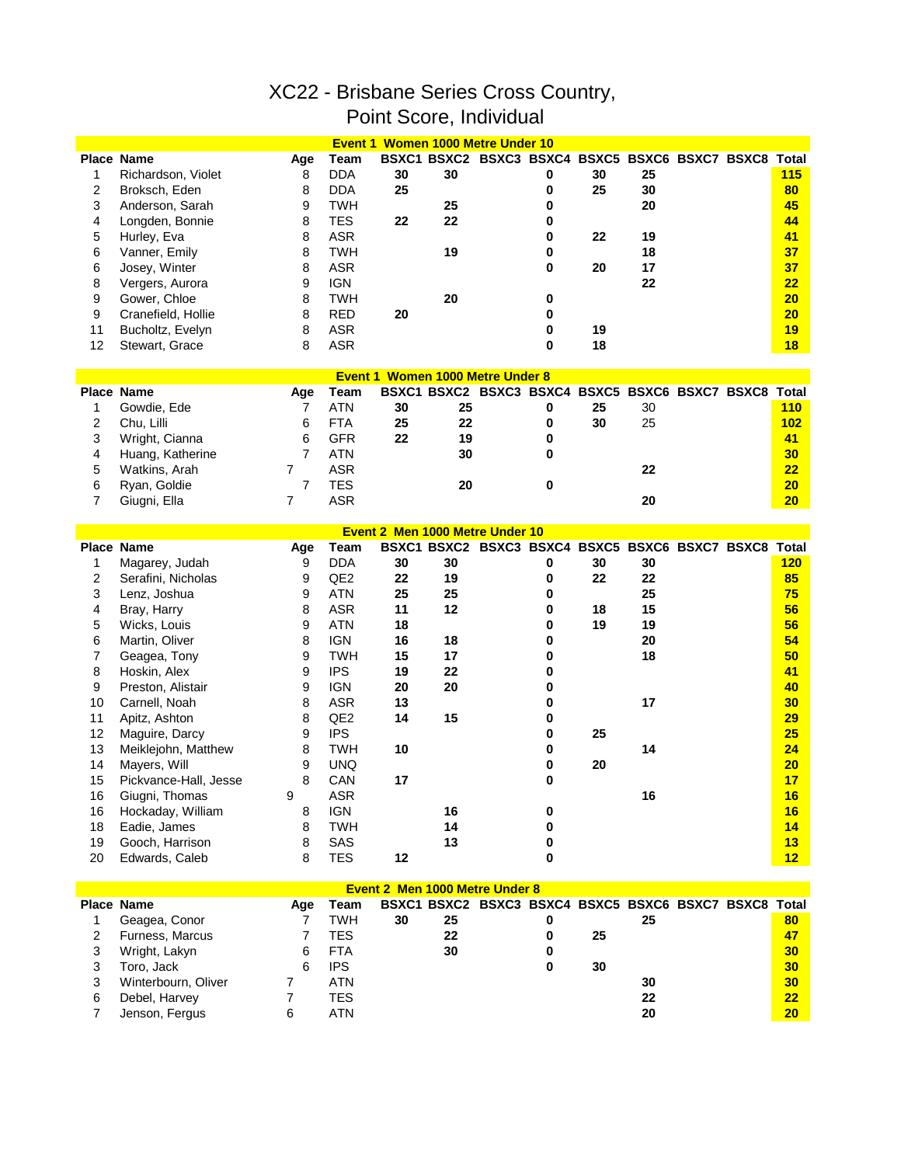## XC22 - Brisbane Series Cross Country, Point Score, Individual

|                |                       |                |                 | Event 1 Women 1000 Metre Under 10       |                                                       |   |    |    |  |     |
|----------------|-----------------------|----------------|-----------------|-----------------------------------------|-------------------------------------------------------|---|----|----|--|-----|
|                | <b>Place Name</b>     | Age            | Team            |                                         | BSXC1 BSXC2 BSXC3 BSXC4 BSXC5 BSXC6 BSXC7 BSXC8 Total |   |    |    |  |     |
| 1              | Richardson, Violet    | 8              | <b>DDA</b>      | 30                                      | 30                                                    | 0 | 30 | 25 |  | 115 |
| 2              | Broksch, Eden         | 8              | <b>DDA</b>      | 25                                      |                                                       | 0 | 25 | 30 |  | 80  |
| 3              | Anderson, Sarah       | 9              | <b>TWH</b>      |                                         | 25                                                    | 0 |    | 20 |  | 45  |
| 4              | Longden, Bonnie       | 8              | <b>TES</b>      | 22                                      | 22                                                    | 0 |    |    |  | 44  |
| 5              | Hurley, Eva           | 8              | <b>ASR</b>      |                                         |                                                       | 0 | 22 | 19 |  | 41  |
| 6              | Vanner, Emily         | 8              | <b>TWH</b>      |                                         | 19                                                    | 0 |    | 18 |  | 37  |
| 6              |                       | 8              | <b>ASR</b>      |                                         |                                                       | 0 |    | 17 |  | 37  |
|                | Josey, Winter         |                |                 |                                         |                                                       |   | 20 |    |  | 22  |
| 8              | Vergers, Aurora       | 9              | <b>IGN</b>      |                                         |                                                       |   |    | 22 |  |     |
| 9              | Gower, Chloe          | 8              | <b>TWH</b>      |                                         | 20                                                    | 0 |    |    |  | 20  |
| 9              | Cranefield, Hollie    | 8              | <b>RED</b>      | 20                                      |                                                       | 0 |    |    |  | 20  |
| 11             | Bucholtz, Evelyn      | 8              | <b>ASR</b>      |                                         |                                                       | 0 | 19 |    |  | 19  |
| 12             | Stewart, Grace        | 8              | <b>ASR</b>      |                                         |                                                       | 0 | 18 |    |  | 18  |
|                |                       |                |                 | <b>Event 1 Women 1000 Metre Under 8</b> |                                                       |   |    |    |  |     |
|                | Place Name            | Age            | Team            |                                         | BSXC1 BSXC2 BSXC3 BSXC4 BSXC5 BSXC6 BSXC7 BSXC8 Total |   |    |    |  |     |
| 1              | Gowdie, Ede           | 7              | <b>ATN</b>      | 30                                      | 25                                                    | 0 | 25 | 30 |  | 110 |
| 2              | Chu, Lilli            | 6              | <b>FTA</b>      | 25                                      | 22                                                    | 0 | 30 | 25 |  | 102 |
|                |                       |                |                 |                                         |                                                       |   |    |    |  |     |
| 3              | Wright, Cianna        | 6              | <b>GFR</b>      | 22                                      | 19                                                    | 0 |    |    |  | 41  |
| 4              | Huang, Katherine      | 7              | <b>ATN</b>      |                                         | 30                                                    | 0 |    |    |  | 30  |
| 5              | Watkins, Arah         | 7              | <b>ASR</b>      |                                         |                                                       |   |    | 22 |  | 22  |
| 6              | Ryan, Goldie          | 7              | <b>TES</b>      |                                         | 20                                                    | 0 |    |    |  | 20  |
| $\overline{7}$ | Giugni, Ella          | $\overline{7}$ | <b>ASR</b>      |                                         |                                                       |   |    | 20 |  | 20  |
|                |                       |                |                 | Event 2 Men 1000 Metre Under 10         |                                                       |   |    |    |  |     |
|                | Place Name            |                | Team            |                                         | BSXC1 BSXC2 BSXC3 BSXC4 BSXC5 BSXC6 BSXC7 BSXC8 Total |   |    |    |  |     |
|                |                       | Age            |                 |                                         |                                                       |   |    |    |  |     |
| 1              | Magarey, Judah        | 9              | <b>DDA</b>      | 30                                      | 30                                                    | 0 | 30 | 30 |  | 120 |
| 2              | Serafini, Nicholas    | 9              | QE <sub>2</sub> | 22                                      | 19                                                    | 0 | 22 | 22 |  | 85  |
| 3              | Lenz, Joshua          | 9              | <b>ATN</b>      | 25                                      | 25                                                    | 0 |    | 25 |  | 75  |
| 4              | Bray, Harry           | 8              | <b>ASR</b>      | 11                                      | 12                                                    | 0 | 18 | 15 |  | 56  |
| 5              | Wicks, Louis          | 9              | <b>ATN</b>      | 18                                      |                                                       | 0 | 19 | 19 |  | 56  |
| 6              | Martin, Oliver        | 8              | <b>IGN</b>      | 16                                      | 18                                                    | 0 |    | 20 |  | 54  |
| 7              | Geagea, Tony          | 9              | <b>TWH</b>      | 15                                      | 17                                                    | 0 |    | 18 |  | 50  |
| 8              | Hoskin, Alex          | 9              | <b>IPS</b>      | 19                                      | 22                                                    | 0 |    |    |  | 41  |
| 9              | Preston, Alistair     | 9              | <b>IGN</b>      | 20                                      | 20                                                    | 0 |    |    |  | 40  |
| 10             | Carnell, Noah         | 8              | <b>ASR</b>      | 13                                      |                                                       | 0 |    | 17 |  | 30  |
| 11             | Apitz, Ashton         | 8              | QE <sub>2</sub> | 14                                      | 15                                                    | 0 |    |    |  | 29  |
| 12             | Maguire, Darcy        | 9              | <b>IPS</b>      |                                         |                                                       | 0 | 25 |    |  | 25  |
| 13             | Meiklejohn, Matthew   | 8              | <b>TWH</b>      | 10                                      |                                                       | 0 |    | 14 |  | 24  |
| 14             | Mayers, Will          | 9              | <b>UNQ</b>      |                                         |                                                       | 0 | 20 |    |  | 20  |
| 15             | Pickvance-Hall, Jesse | 8              | CAN             | 17                                      |                                                       | 0 |    |    |  | 17  |
| 16             | Giugni, Thomas        | 9              | <b>ASR</b>      |                                         |                                                       |   |    | 16 |  | 16  |
| 16             | Hockaday, William     | 8              | <b>IGN</b>      |                                         | 16                                                    |   |    |    |  | 16  |
| 18             | Eadie, James          | 8              | <b>TWH</b>      |                                         |                                                       | 0 |    |    |  |     |
|                |                       |                |                 |                                         | 14                                                    | 0 |    |    |  | 14  |
| 19             | Gooch, Harrison       | 8              | SAS             |                                         | 13                                                    | 0 |    |    |  | 13  |
| 20             | Edwards, Caleb        | 8              | <b>TES</b>      | 12                                      |                                                       | 0 |    |    |  | 12  |
|                |                       |                |                 | Event 2 Men 1000 Metre Under 8          |                                                       |   |    |    |  |     |
|                | Place Name            | Age            | Team            |                                         | BSXC1 BSXC2 BSXC3 BSXC4 BSXC5 BSXC6 BSXC7 BSXC8 Total |   |    |    |  |     |
| 1              | Geagea, Conor         | 7              | <b>TWH</b>      | 30                                      | 25                                                    | 0 |    | 25 |  | 80  |
| $\overline{2}$ | Furness, Marcus       | 7              | <b>TES</b>      |                                         | 22                                                    | 0 | 25 |    |  | 47  |
| 3              |                       | 6              | <b>FTA</b>      |                                         | 30                                                    |   |    |    |  | 30  |
|                | Wright, Lakyn         |                |                 |                                         |                                                       | 0 |    |    |  |     |
| 3              | Toro, Jack            | 6              | <b>IPS</b>      |                                         |                                                       | 0 | 30 |    |  | 30  |
| 3              | Winterbourn, Oliver   | 7              | <b>ATN</b>      |                                         |                                                       |   |    | 30 |  | 30  |
| 6              | Debel, Harvey         | $\overline{7}$ | <b>TES</b>      |                                         |                                                       |   |    | 22 |  | 22  |

Jenson, Fergus 6 ATN **20 20**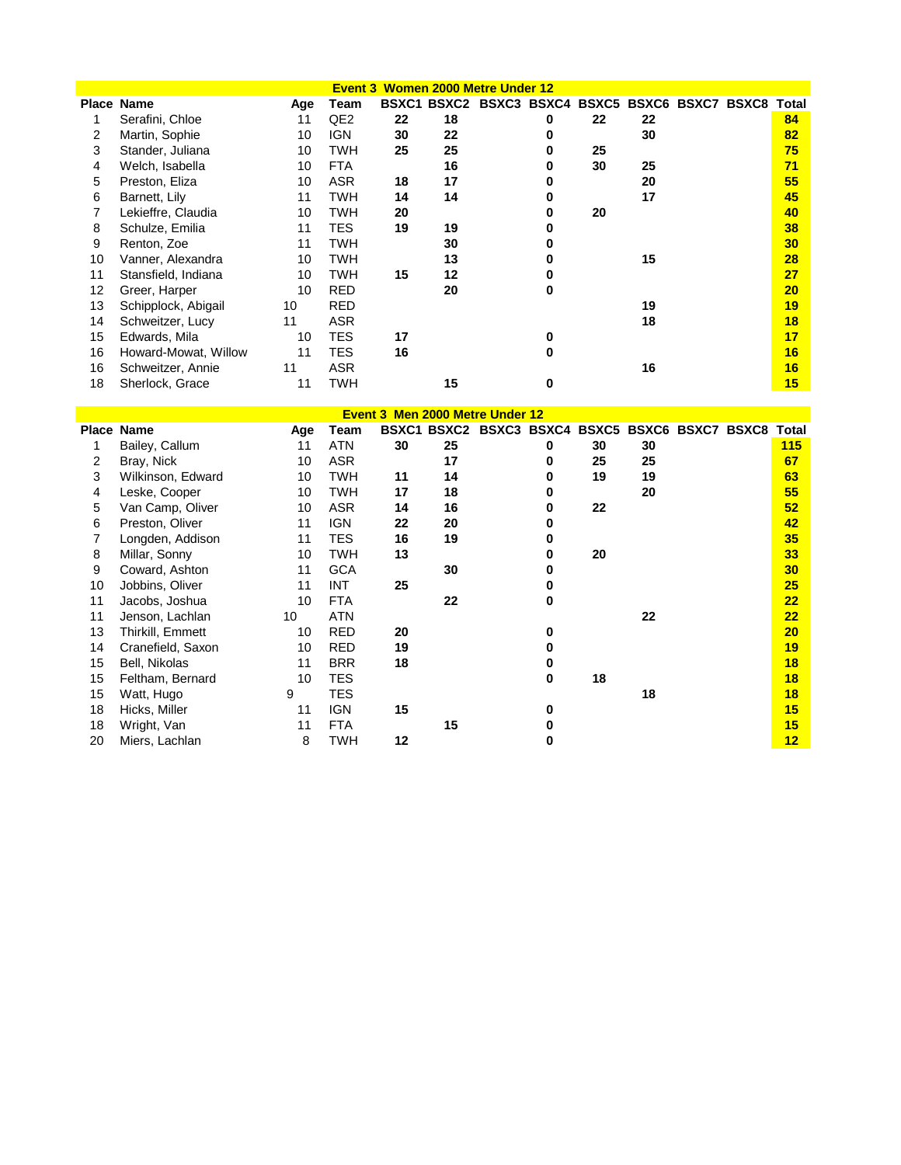| Event 3 Women 2000 Metre Under 12 |                      |     |                 |    |    |                                                 |   |    |    |  |  |       |
|-----------------------------------|----------------------|-----|-----------------|----|----|-------------------------------------------------|---|----|----|--|--|-------|
|                                   | <b>Place Name</b>    | Age | Team            |    |    | BSXC1 BSXC2 BSXC3 BSXC4 BSXC5 BSXC6 BSXC7 BSXC8 |   |    |    |  |  | Total |
|                                   | Serafini, Chloe      | 11  | QE <sub>2</sub> | 22 | 18 |                                                 | 0 | 22 | 22 |  |  | 84    |
| 2                                 | Martin, Sophie       | 10  | <b>IGN</b>      | 30 | 22 |                                                 |   |    | 30 |  |  | 82    |
| 3                                 | Stander, Juliana     | 10  | TWH             | 25 | 25 |                                                 | n | 25 |    |  |  | 75    |
| 4                                 | Welch, Isabella      | 10  | <b>FTA</b>      |    | 16 |                                                 |   | 30 | 25 |  |  | 71    |
| 5                                 | Preston, Eliza       | 10  | ASR             | 18 | 17 |                                                 |   |    | 20 |  |  | 55    |
| 6                                 | Barnett, Lily        | 11  | TWH             | 14 | 14 |                                                 |   |    | 17 |  |  | 45    |
|                                   | Lekieffre, Claudia   | 10  | TWH             | 20 |    |                                                 |   | 20 |    |  |  | 40    |
| 8                                 | Schulze, Emilia      | 11  | TES             | 19 | 19 |                                                 |   |    |    |  |  | 38    |
| 9                                 | Renton, Zoe          | 11  | TWH             |    | 30 |                                                 |   |    |    |  |  | 30    |
| 10                                | Vanner, Alexandra    | 10  | TWH             |    | 13 |                                                 |   |    | 15 |  |  | 28    |
| 11                                | Stansfield, Indiana  | 10  | TWH             | 15 | 12 |                                                 |   |    |    |  |  | 27    |
| 12                                | Greer, Harper        | 10  | <b>RED</b>      |    | 20 |                                                 |   |    |    |  |  | 20    |
| 13                                | Schipplock, Abigail  | 10  | <b>RED</b>      |    |    |                                                 |   |    | 19 |  |  | 19    |
| 14                                | Schweitzer, Lucy     | 11  | ASR             |    |    |                                                 |   |    | 18 |  |  | 18    |
| 15                                | Edwards, Mila        | 10  | TES             | 17 |    |                                                 | 0 |    |    |  |  | 17    |
| 16                                | Howard-Mowat, Willow | 11  | TES             | 16 |    |                                                 | 0 |    |    |  |  | 16    |
| 16                                | Schweitzer, Annie    | 11  | ASR             |    |    |                                                 |   |    | 16 |  |  | 16    |
| 18                                | Sherlock, Grace      | 11  | TWH             |    | 15 |                                                 | 0 |    |    |  |  | 15    |

| <b>Event 3 Men 2000 Metre Under 12</b> |                   |     |            |    |    |                                                       |   |    |    |  |  |     |
|----------------------------------------|-------------------|-----|------------|----|----|-------------------------------------------------------|---|----|----|--|--|-----|
|                                        | <b>Place Name</b> | Age | Team       |    |    | BSXC1 BSXC2 BSXC3 BSXC4 BSXC5 BSXC6 BSXC7 BSXC8 Total |   |    |    |  |  |     |
|                                        | Bailey, Callum    | 11  | <b>ATN</b> | 30 | 25 |                                                       | 0 | 30 | 30 |  |  | 115 |
| 2                                      | Bray, Nick        | 10  | <b>ASR</b> |    | 17 |                                                       | 0 | 25 | 25 |  |  | 67  |
| 3                                      | Wilkinson, Edward | 10  | <b>TWH</b> | 11 | 14 |                                                       | 0 | 19 | 19 |  |  | 63  |
| 4                                      | Leske, Cooper     | 10  | <b>TWH</b> | 17 | 18 |                                                       | 0 |    | 20 |  |  | 55  |
| 5                                      | Van Camp, Oliver  | 10  | <b>ASR</b> | 14 | 16 |                                                       | 0 | 22 |    |  |  | 52  |
| 6                                      | Preston, Oliver   | 11  | <b>IGN</b> | 22 | 20 |                                                       | 0 |    |    |  |  | 42  |
|                                        | Longden, Addison  | 11  | <b>TES</b> | 16 | 19 |                                                       | 0 |    |    |  |  | 35  |
| 8                                      | Millar, Sonny     | 10  | <b>TWH</b> | 13 |    |                                                       | 0 | 20 |    |  |  | 33  |
| 9                                      | Coward, Ashton    | 11  | <b>GCA</b> |    | 30 |                                                       |   |    |    |  |  | 30  |
| 10                                     | Jobbins, Oliver   | 11  | <b>INT</b> | 25 |    |                                                       |   |    |    |  |  | 25  |
| 11                                     | Jacobs, Joshua    | 10  | <b>FTA</b> |    | 22 |                                                       | 0 |    |    |  |  | 22  |
| 11                                     | Jenson, Lachlan   | 10  | <b>ATN</b> |    |    |                                                       |   |    | 22 |  |  | 22  |
| 13                                     | Thirkill, Emmett  | 10  | <b>RED</b> | 20 |    |                                                       | ŋ |    |    |  |  | 20  |
| 14                                     | Cranefield, Saxon | 10  | <b>RED</b> | 19 |    |                                                       |   |    |    |  |  | 19  |
| 15                                     | Bell, Nikolas     | 11  | <b>BRR</b> | 18 |    |                                                       | 0 |    |    |  |  | 18  |
| 15                                     | Feltham, Bernard  | 10  | <b>TES</b> |    |    |                                                       | 0 | 18 |    |  |  | 18  |
| 15                                     | Watt, Hugo        | 9   | <b>TES</b> |    |    |                                                       |   |    | 18 |  |  | 18  |
| 18                                     | Hicks, Miller     | 11  | <b>IGN</b> | 15 |    |                                                       | ŋ |    |    |  |  | 15  |
| 18                                     | Wright, Van       | 11  | <b>FTA</b> |    | 15 |                                                       |   |    |    |  |  | 15  |
| 20                                     | Miers, Lachlan    | 8   | <b>TWH</b> | 12 |    |                                                       | o |    |    |  |  | 12  |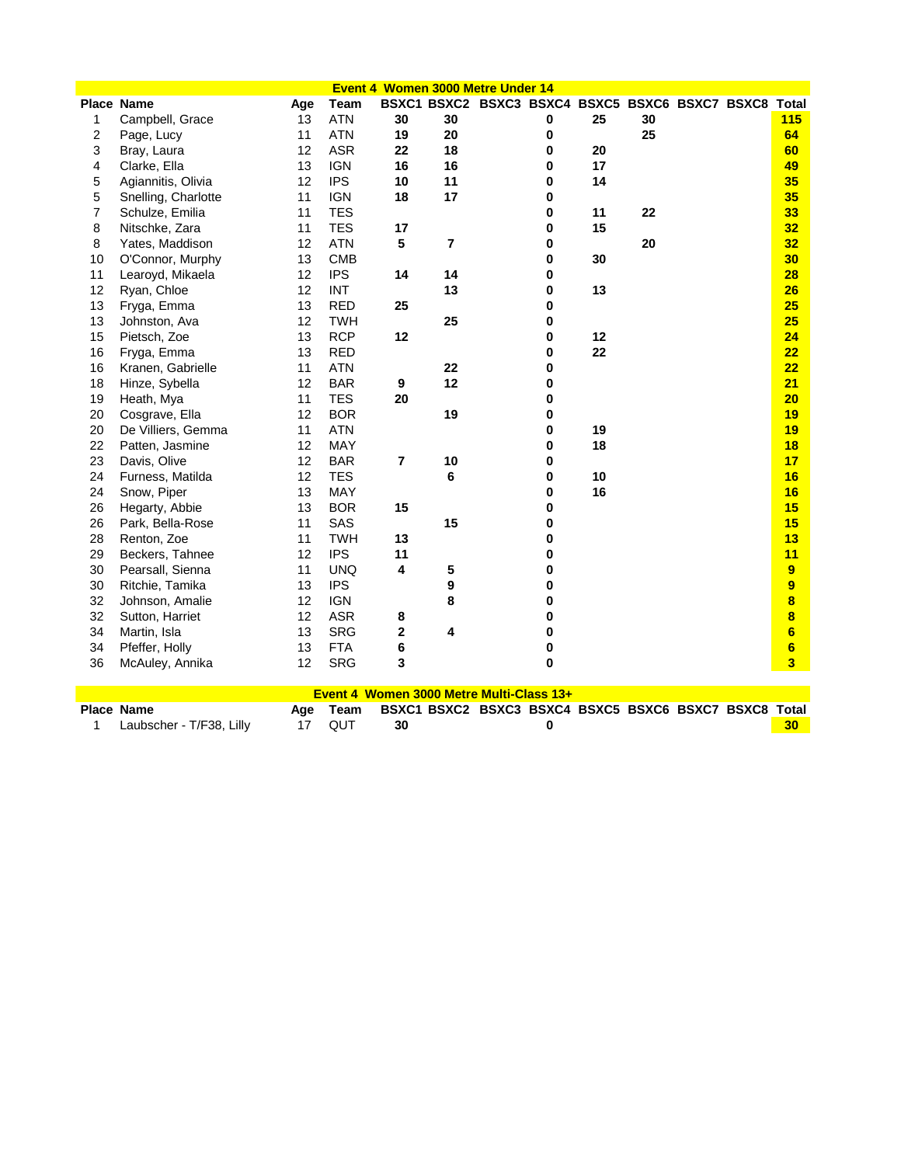| Event 4 Women 3000 Metre Under 14 |                          |     |            |                  |                |                                                       |           |    |    |  |  |                 |
|-----------------------------------|--------------------------|-----|------------|------------------|----------------|-------------------------------------------------------|-----------|----|----|--|--|-----------------|
|                                   | <b>Place Name</b>        | Age | Team       |                  |                | BSXC1 BSXC2 BSXC3 BSXC4 BSXC5 BSXC6 BSXC7 BSXC8 Total |           |    |    |  |  |                 |
| 1                                 | Campbell, Grace          | 13  | <b>ATN</b> | 30               | 30             |                                                       | 0         | 25 | 30 |  |  | 115             |
| 2                                 | Page, Lucy               | 11  | <b>ATN</b> | 19               | 20             |                                                       | 0         |    | 25 |  |  | 64              |
| 3                                 | Bray, Laura              | 12  | <b>ASR</b> | 22               | 18             |                                                       | 0         | 20 |    |  |  | 60              |
| 4                                 | Clarke, Ella             | 13  | <b>IGN</b> | 16               | 16             |                                                       | 0         | 17 |    |  |  | 49              |
| 5                                 | Agiannitis, Olivia       | 12  | <b>IPS</b> | 10               | 11             |                                                       | 0         | 14 |    |  |  | 35              |
| 5                                 | Snelling, Charlotte      | 11  | <b>IGN</b> | 18               | 17             |                                                       | 0         |    |    |  |  | 35              |
| $\overline{7}$                    | Schulze, Emilia          | 11  | <b>TES</b> |                  |                |                                                       | $\bf{0}$  | 11 | 22 |  |  | 33              |
| 8                                 | Nitschke, Zara           | 11  | <b>TES</b> | 17               |                |                                                       | 0         | 15 |    |  |  | 32              |
| 8                                 | Yates, Maddison          | 12  | <b>ATN</b> | 5                | $\overline{7}$ |                                                       | 0         |    | 20 |  |  | 32              |
| 10                                | O'Connor, Murphy         | 13  | <b>CMB</b> |                  |                |                                                       | 0         | 30 |    |  |  | 30              |
| 11                                | Learoyd, Mikaela         | 12  | <b>IPS</b> | 14               | 14             |                                                       | 0         |    |    |  |  | 28              |
| 12                                | Ryan, Chloe              | 12  | <b>INT</b> |                  | 13             |                                                       | 0         | 13 |    |  |  | 26              |
| 13                                | Fryga, Emma              | 13  | <b>RED</b> | 25               |                |                                                       | 0         |    |    |  |  | 25              |
| 13                                | Johnston, Ava            | 12  | <b>TWH</b> |                  | 25             |                                                       | 0         |    |    |  |  | 25              |
| 15                                | Pietsch, Zoe             | 13  | <b>RCP</b> | 12               |                |                                                       | 0         | 12 |    |  |  | 24              |
| 16                                | Fryga, Emma              | 13  | <b>RED</b> |                  |                |                                                       | 0         | 22 |    |  |  | 22              |
| 16                                | Kranen, Gabrielle        | 11  | <b>ATN</b> |                  | 22             |                                                       | 0         |    |    |  |  | 22              |
| 18                                | Hinze, Sybella           | 12  | <b>BAR</b> | $\boldsymbol{9}$ | 12             |                                                       | 0         |    |    |  |  | 21              |
| 19                                | Heath, Mya               | 11  | <b>TES</b> | 20               |                |                                                       | 0         |    |    |  |  | 20              |
| 20                                | Cosgrave, Ella           | 12  | <b>BOR</b> |                  | 19             |                                                       | $\bf{0}$  |    |    |  |  | 19              |
| 20                                | De Villiers, Gemma       | 11  | <b>ATN</b> |                  |                |                                                       | 0         | 19 |    |  |  | 19              |
| 22                                | Patten, Jasmine          | 12  | MAY        |                  |                |                                                       | 0         | 18 |    |  |  | 18              |
| 23                                | Davis, Olive             | 12  | <b>BAR</b> | $\overline{7}$   | 10             |                                                       | 0         |    |    |  |  | 17              |
| 24                                | Furness, Matilda         | 12  | <b>TES</b> |                  | 6              |                                                       | 0         | 10 |    |  |  | 16              |
| 24                                | Snow, Piper              | 13  | MAY        |                  |                |                                                       | 0         | 16 |    |  |  | 16              |
| 26                                | Hegarty, Abbie           | 13  | <b>BOR</b> | 15               |                |                                                       | 0         |    |    |  |  | 15              |
| 26                                | Park, Bella-Rose         | 11  | SAS        |                  | 15             |                                                       | $\bf{0}$  |    |    |  |  | 15              |
| 28                                | Renton, Zoe              | 11  | <b>TWH</b> | 13               |                |                                                       | 0         |    |    |  |  | 13              |
| 29                                | Beckers, Tahnee          | 12  | <b>IPS</b> | 11               |                |                                                       | $\bf{0}$  |    |    |  |  | 11              |
| 30                                | Pearsall, Sienna         | 11  | <b>UNQ</b> | 4                | 5              |                                                       | 0         |    |    |  |  | 9               |
| 30                                | Ritchie, Tamika          | 13  | <b>IPS</b> |                  | 9              |                                                       | 0         |    |    |  |  | $\overline{9}$  |
| 32                                | Johnson, Amalie          | 12  | <b>IGN</b> |                  | 8              |                                                       | 0         |    |    |  |  | 8               |
| 32                                | Sutton, Harriet          | 12  | <b>ASR</b> | 8                |                |                                                       | 0         |    |    |  |  | 8               |
| 34                                | Martin, Isla             | 13  | <b>SRG</b> | $\mathbf 2$      | 4              |                                                       | $\bf{0}$  |    |    |  |  | 6               |
| 34                                | Pfeffer, Holly           | 13  | <b>FTA</b> | 6                |                |                                                       | $\pmb{0}$ |    |    |  |  | $6\phantom{a}$  |
| 36                                | McAuley, Annika          | 12  | <b>SRG</b> | 3                |                |                                                       | $\bf{0}$  |    |    |  |  | 3               |
|                                   |                          |     |            |                  |                |                                                       |           |    |    |  |  |                 |
|                                   |                          |     |            |                  |                | Event 4 Women 3000 Metre Multi-Class 13+              |           |    |    |  |  |                 |
|                                   | <b>Place Name</b>        | Age | Team       |                  |                | BSXC1 BSXC2 BSXC3 BSXC4 BSXC5 BSXC6 BSXC7 BSXC8 Total |           |    |    |  |  |                 |
| 1                                 | Laubscher - T/F38, Lilly | 17  | QUT        | 30               |                |                                                       | 0         |    |    |  |  | 30 <sub>2</sub> |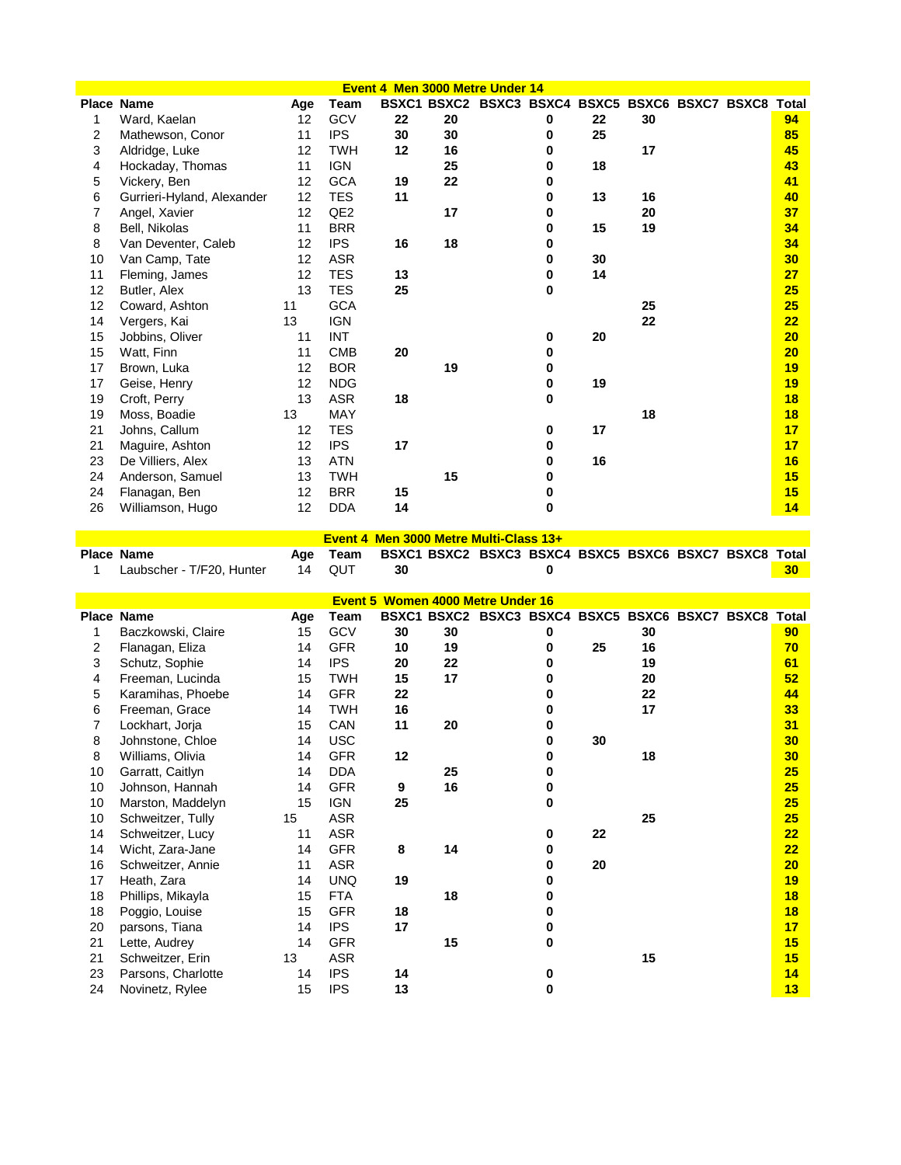|                |                            |     |                 |    |    | Event 4 Men 3000 Metre Under 14                       |   |    |    |  |    |
|----------------|----------------------------|-----|-----------------|----|----|-------------------------------------------------------|---|----|----|--|----|
|                | <b>Place Name</b>          | Age | Team            |    |    | BSXC1 BSXC2 BSXC3 BSXC4 BSXC5 BSXC6 BSXC7 BSXC8 Total |   |    |    |  |    |
| 1              | Ward, Kaelan               | 12  | GCV             | 22 | 20 |                                                       | 0 | 22 | 30 |  | 94 |
| $\overline{2}$ | Mathewson, Conor           | 11  | <b>IPS</b>      | 30 | 30 |                                                       | 0 | 25 |    |  | 85 |
| 3              | Aldridge, Luke             | 12  | TWH             | 12 | 16 |                                                       | 0 |    | 17 |  | 45 |
| 4              | Hockaday, Thomas           | 11  | <b>IGN</b>      |    | 25 |                                                       | U | 18 |    |  | 43 |
| 5              | Vickery, Ben               | 12  | <b>GCA</b>      | 19 | 22 |                                                       | 0 |    |    |  | 41 |
| 6              | Gurrieri-Hyland, Alexander | 12  | <b>TES</b>      | 11 |    |                                                       | 0 | 13 | 16 |  | 40 |
| 7              | Angel, Xavier              | 12  | QE <sub>2</sub> |    | 17 |                                                       | 0 |    | 20 |  | 37 |
| 8              | Bell, Nikolas              | 11  | <b>BRR</b>      |    |    |                                                       | 0 | 15 | 19 |  | 34 |
| 8              | Van Deventer, Caleb        | 12  | <b>IPS</b>      | 16 | 18 |                                                       | 0 |    |    |  | 34 |
| 10             | Van Camp, Tate             | 12  | ASR             |    |    |                                                       | 0 | 30 |    |  | 30 |
| 11             | Fleming, James             | 12  | <b>TES</b>      | 13 |    |                                                       | 0 | 14 |    |  | 27 |
| 12             | Butler, Alex               | 13  | <b>TES</b>      | 25 |    |                                                       | 0 |    |    |  | 25 |
| 12             | Coward, Ashton             | 11  | <b>GCA</b>      |    |    |                                                       |   |    | 25 |  | 25 |
| 14             | Vergers, Kai               | 13  | <b>IGN</b>      |    |    |                                                       |   |    | 22 |  | 22 |
| 15             | Jobbins, Oliver            | 11  | <b>INT</b>      |    |    |                                                       | 0 | 20 |    |  | 20 |
| 15             | Watt, Finn                 | 11  | <b>CMB</b>      | 20 |    |                                                       | 0 |    |    |  | 20 |
| 17             | Brown, Luka                | 12  | <b>BOR</b>      |    | 19 |                                                       | 0 |    |    |  | 19 |
| 17             | Geise, Henry               | 12  | <b>NDG</b>      |    |    |                                                       | 0 | 19 |    |  | 19 |
| 19             | Croft, Perry               | 13  | <b>ASR</b>      | 18 |    |                                                       | 0 |    |    |  | 18 |
| 19             | Moss, Boadie               | 13  | <b>MAY</b>      |    |    |                                                       |   |    | 18 |  | 18 |
| 21             | Johns, Callum              | 12  | <b>TES</b>      |    |    |                                                       | 0 | 17 |    |  | 17 |
| 21             | Maguire, Ashton            | 12  | <b>IPS</b>      | 17 |    |                                                       | 0 |    |    |  | 17 |
| 23             | De Villiers, Alex          | 13  | <b>ATN</b>      |    |    |                                                       | 0 | 16 |    |  | 16 |
| 24             | Anderson, Samuel           | 13  | <b>TWH</b>      |    | 15 |                                                       | n |    |    |  | 15 |
| 24             | Flanagan, Ben              | 12  | <b>BRR</b>      | 15 |    |                                                       | 0 |    |    |  | 15 |
| 26             | Williamson, Hugo           | 12  | <b>DDA</b>      | 14 |    |                                                       | 0 |    |    |  | 14 |

Γ

|  |  |  | Event 4 Men 3000 Metre Multi-Class 13+ |
|--|--|--|----------------------------------------|
|--|--|--|----------------------------------------|

| Place Name                         | Team |  | BSXC1 BSXC2 BSXC3 BSXC4 BSXC5 BSXC6 BSXC7 BSXC8 Total |  |
|------------------------------------|------|--|-------------------------------------------------------|--|
| 1 Laubscher - T/F20, Hunter 14 QUT |      |  |                                                       |  |

| Women 4000 Metre Under 16<br>Event 5<br>BSXC3 BSXC4 BSXC5 BSXC6 BSXC7 BSXC8 |                    |     |            |    |                    |  |   |    |    |  |  |                 |
|-----------------------------------------------------------------------------|--------------------|-----|------------|----|--------------------|--|---|----|----|--|--|-----------------|
|                                                                             | Place Name         | Age | Team       |    | <b>BSXC1 BSXC2</b> |  |   |    |    |  |  | <b>Total</b>    |
| 1                                                                           | Baczkowski, Claire | 15  | GCV        | 30 | 30                 |  | 0 |    | 30 |  |  | 90 <sub>o</sub> |
| 2                                                                           | Flanagan, Eliza    | 14  | <b>GFR</b> | 10 | 19                 |  | 0 | 25 | 16 |  |  | 70              |
| 3                                                                           | Schutz, Sophie     | 14  | <b>IPS</b> | 20 | 22                 |  |   |    | 19 |  |  | 61              |
| 4                                                                           | Freeman, Lucinda   | 15  | TWH        | 15 | 17                 |  |   |    | 20 |  |  | 52              |
| 5                                                                           | Karamihas, Phoebe  | 14  | <b>GFR</b> | 22 |                    |  |   |    | 22 |  |  | 44              |
| 6                                                                           | Freeman, Grace     | 14  | TWH        | 16 |                    |  | 0 |    | 17 |  |  | 33              |
| 7                                                                           | Lockhart, Jorja    | 15  | CAN        | 11 | 20                 |  | 0 |    |    |  |  | 31              |
| 8                                                                           | Johnstone, Chloe   | 14  | <b>USC</b> |    |                    |  | 0 | 30 |    |  |  | 30              |
| 8                                                                           | Williams, Olivia   | 14  | <b>GFR</b> | 12 |                    |  | U |    | 18 |  |  | 30              |
| 10                                                                          | Garratt, Caitlyn   | 14  | <b>DDA</b> |    | 25                 |  | o |    |    |  |  | 25              |
| 10                                                                          | Johnson, Hannah    | 14  | <b>GFR</b> | 9  | 16                 |  |   |    |    |  |  | 25              |
| 10                                                                          | Marston, Maddelyn  | 15  | <b>IGN</b> | 25 |                    |  | 0 |    |    |  |  | 25              |
| 10                                                                          | Schweitzer, Tully  | 15  | <b>ASR</b> |    |                    |  |   |    | 25 |  |  | 25              |
| 14                                                                          | Schweitzer, Lucy   | 11  | <b>ASR</b> |    |                    |  | 0 | 22 |    |  |  | 22              |
| 14                                                                          | Wicht, Zara-Jane   | 14  | <b>GFR</b> | 8  | 14                 |  | 0 |    |    |  |  | 22              |
| 16                                                                          | Schweitzer, Annie  | 11  | <b>ASR</b> |    |                    |  | 0 | 20 |    |  |  | 20              |
| 17                                                                          | Heath, Zara        | 14  | <b>UNQ</b> | 19 |                    |  | 0 |    |    |  |  | 19              |
| 18                                                                          | Phillips, Mikayla  | 15  | <b>FTA</b> |    | 18                 |  |   |    |    |  |  | 18              |
| 18                                                                          | Poggio, Louise     | 15  | <b>GFR</b> | 18 |                    |  | O |    |    |  |  | 18              |
| 20                                                                          | parsons, Tiana     | 14  | <b>IPS</b> | 17 |                    |  |   |    |    |  |  | 17              |
| 21                                                                          | Lette, Audrey      | 14  | <b>GFR</b> |    | 15                 |  | 0 |    |    |  |  | 15              |
| 21                                                                          | Schweitzer, Erin   | 13  | <b>ASR</b> |    |                    |  |   |    | 15 |  |  | 15              |
| 23                                                                          | Parsons, Charlotte | 14  | <b>IPS</b> | 14 |                    |  | 0 |    |    |  |  | 14              |
| 24                                                                          | Novinetz, Rylee    | 15  | <b>IPS</b> | 13 |                    |  | 0 |    |    |  |  | 13              |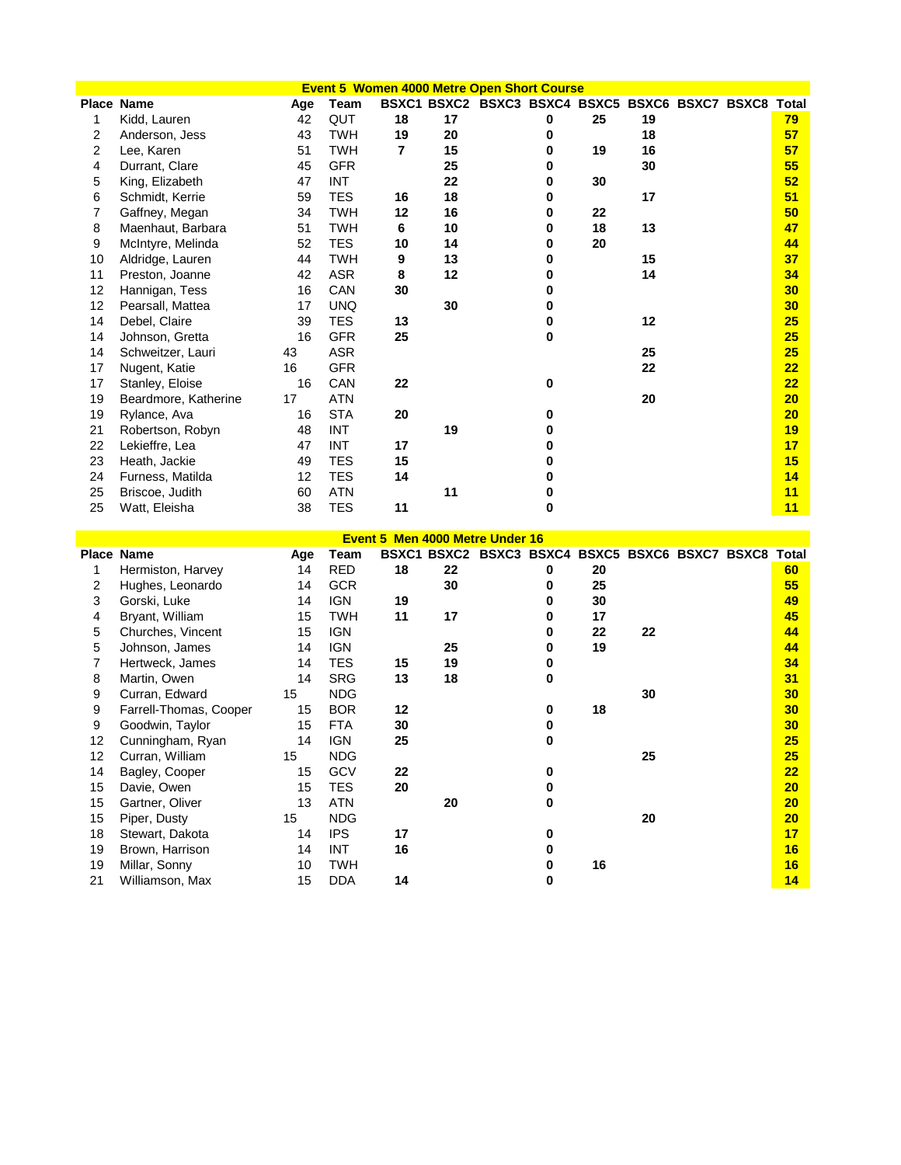|                |                      |     |            |    |    | <b>Event 5 Women 4000 Metre Open Short Course</b>     |   |    |    |  |    |
|----------------|----------------------|-----|------------|----|----|-------------------------------------------------------|---|----|----|--|----|
|                | <b>Place Name</b>    | Age | Team       |    |    | BSXC1 BSXC2 BSXC3 BSXC4 BSXC5 BSXC6 BSXC7 BSXC8 Total |   |    |    |  |    |
| 1              | Kidd, Lauren         | 42  | QUT        | 18 | 17 |                                                       | 0 | 25 | 19 |  | 79 |
| 2              | Anderson, Jess       | 43  | <b>TWH</b> | 19 | 20 |                                                       | 0 |    | 18 |  | 57 |
| $\overline{2}$ | Lee, Karen           | 51  | <b>TWH</b> | 7  | 15 |                                                       | 0 | 19 | 16 |  | 57 |
| 4              | Durrant, Clare       | 45  | <b>GFR</b> |    | 25 |                                                       | 0 |    | 30 |  | 55 |
| 5              | King, Elizabeth      | 47  | <b>INT</b> |    | 22 |                                                       | 0 | 30 |    |  | 52 |
| 6              | Schmidt, Kerrie      | 59  | <b>TES</b> | 16 | 18 |                                                       | 0 |    | 17 |  | 51 |
|                | Gaffney, Megan       | 34  | <b>TWH</b> | 12 | 16 |                                                       | 0 | 22 |    |  | 50 |
| 8              | Maenhaut, Barbara    | 51  | <b>TWH</b> | 6  | 10 |                                                       | 0 | 18 | 13 |  | 47 |
| 9              | McIntyre, Melinda    | 52  | <b>TES</b> | 10 | 14 |                                                       | 0 | 20 |    |  | 44 |
| 10             | Aldridge, Lauren     | 44  | <b>TWH</b> | 9  | 13 |                                                       | 0 |    | 15 |  | 37 |
| 11             | Preston, Joanne      | 42  | <b>ASR</b> | 8  | 12 |                                                       | 0 |    | 14 |  | 34 |
| 12             | Hannigan, Tess       | 16  | CAN        | 30 |    |                                                       |   |    |    |  | 30 |
| 12             | Pearsall, Mattea     | 17  | <b>UNQ</b> |    | 30 |                                                       |   |    |    |  | 30 |
| 14             | Debel, Claire        | 39  | <b>TES</b> | 13 |    |                                                       | 0 |    | 12 |  | 25 |
| 14             | Johnson, Gretta      | 16  | <b>GFR</b> | 25 |    |                                                       | 0 |    |    |  | 25 |
| 14             | Schweitzer, Lauri    | 43  | ASR        |    |    |                                                       |   |    | 25 |  | 25 |
| 17             | Nugent, Katie        | 16  | <b>GFR</b> |    |    |                                                       |   |    | 22 |  | 22 |
| 17             | Stanley, Eloise      | 16  | CAN        | 22 |    |                                                       | 0 |    |    |  | 22 |
| 19             | Beardmore, Katherine | 17  | <b>ATN</b> |    |    |                                                       |   |    | 20 |  | 20 |
| 19             | Rylance, Ava         | 16  | <b>STA</b> | 20 |    |                                                       | n |    |    |  | 20 |
| 21             | Robertson, Robyn     | 48  | <b>INT</b> |    | 19 |                                                       | n |    |    |  | 19 |
| 22             | Lekieffre, Lea       | 47  | <b>INT</b> | 17 |    |                                                       |   |    |    |  | 17 |
| 23             | Heath, Jackie        | 49  | <b>TES</b> | 15 |    |                                                       |   |    |    |  | 15 |
| 24             | Furness, Matilda     | 12  | <b>TES</b> | 14 |    |                                                       | o |    |    |  | 14 |
| 25             | Briscoe, Judith      | 60  | <b>ATN</b> |    | 11 |                                                       | 0 |    |    |  | 11 |
| 25             | Watt, Eleisha        | 38  | <b>TES</b> | 11 |    |                                                       | 0 |    |    |  | 11 |

|    | Event 5 Men 4000 Metre Under 16<br>BSXC1 BSXC2 BSXC3 BSXC4 BSXC5 BSXC6 BSXC7 BSXC8 |     |            |    |    |  |   |    |    |  |  |       |  |
|----|------------------------------------------------------------------------------------|-----|------------|----|----|--|---|----|----|--|--|-------|--|
|    | Place Name                                                                         | Age | Team       |    |    |  |   |    |    |  |  | Total |  |
| 1  | Hermiston, Harvey                                                                  | 14  | <b>RED</b> | 18 | 22 |  | 0 | 20 |    |  |  | 60    |  |
| 2  | Hughes, Leonardo                                                                   | 14  | <b>GCR</b> |    | 30 |  | 0 | 25 |    |  |  | 55    |  |
| 3  | Gorski, Luke                                                                       | 14  | <b>IGN</b> | 19 |    |  | 0 | 30 |    |  |  | 49    |  |
| 4  | Bryant, William                                                                    | 15  | <b>TWH</b> | 11 | 17 |  | 0 | 17 |    |  |  | 45    |  |
| 5  | Churches, Vincent                                                                  | 15  | IGN        |    |    |  | 0 | 22 | 22 |  |  | 44    |  |
| 5  | Johnson, James                                                                     | 14  | <b>IGN</b> |    | 25 |  | 0 | 19 |    |  |  | 44    |  |
|    | Hertweck, James                                                                    | 14  | <b>TES</b> | 15 | 19 |  | 0 |    |    |  |  | 34    |  |
| 8  | Martin, Owen                                                                       | 14  | <b>SRG</b> | 13 | 18 |  | 0 |    |    |  |  | 31    |  |
| 9  | Curran, Edward                                                                     | 15  | <b>NDG</b> |    |    |  |   |    | 30 |  |  | 30    |  |
| 9  | Farrell-Thomas, Cooper                                                             | 15  | <b>BOR</b> | 12 |    |  | 0 | 18 |    |  |  | 30    |  |
| 9  | Goodwin, Taylor                                                                    | 15  | <b>FTA</b> | 30 |    |  | 0 |    |    |  |  | 30    |  |
| 12 | Cunningham, Ryan                                                                   | 14  | <b>IGN</b> | 25 |    |  | 0 |    |    |  |  | 25    |  |
| 12 | Curran, William                                                                    | 15  | <b>NDG</b> |    |    |  |   |    | 25 |  |  | 25    |  |
| 14 | Bagley, Cooper                                                                     | 15  | GCV        | 22 |    |  |   |    |    |  |  | 22    |  |
| 15 | Davie, Owen                                                                        | 15  | TES        | 20 |    |  |   |    |    |  |  | 20    |  |
| 15 | Gartner, Oliver                                                                    | 13  | <b>ATN</b> |    | 20 |  | U |    |    |  |  | 20    |  |
| 15 | Piper, Dusty                                                                       | 15  | <b>NDG</b> |    |    |  |   |    | 20 |  |  | 20    |  |
| 18 | Stewart, Dakota                                                                    | 14  | <b>IPS</b> | 17 |    |  | n |    |    |  |  | 17    |  |
| 19 | Brown, Harrison                                                                    | 14  | INT        | 16 |    |  | 0 |    |    |  |  | 16    |  |
| 19 | Millar, Sonny                                                                      | 10  | <b>TWH</b> |    |    |  | 0 | 16 |    |  |  | 16    |  |
| 21 | Williamson, Max                                                                    | 15  | <b>DDA</b> | 14 |    |  | 0 |    |    |  |  | 14    |  |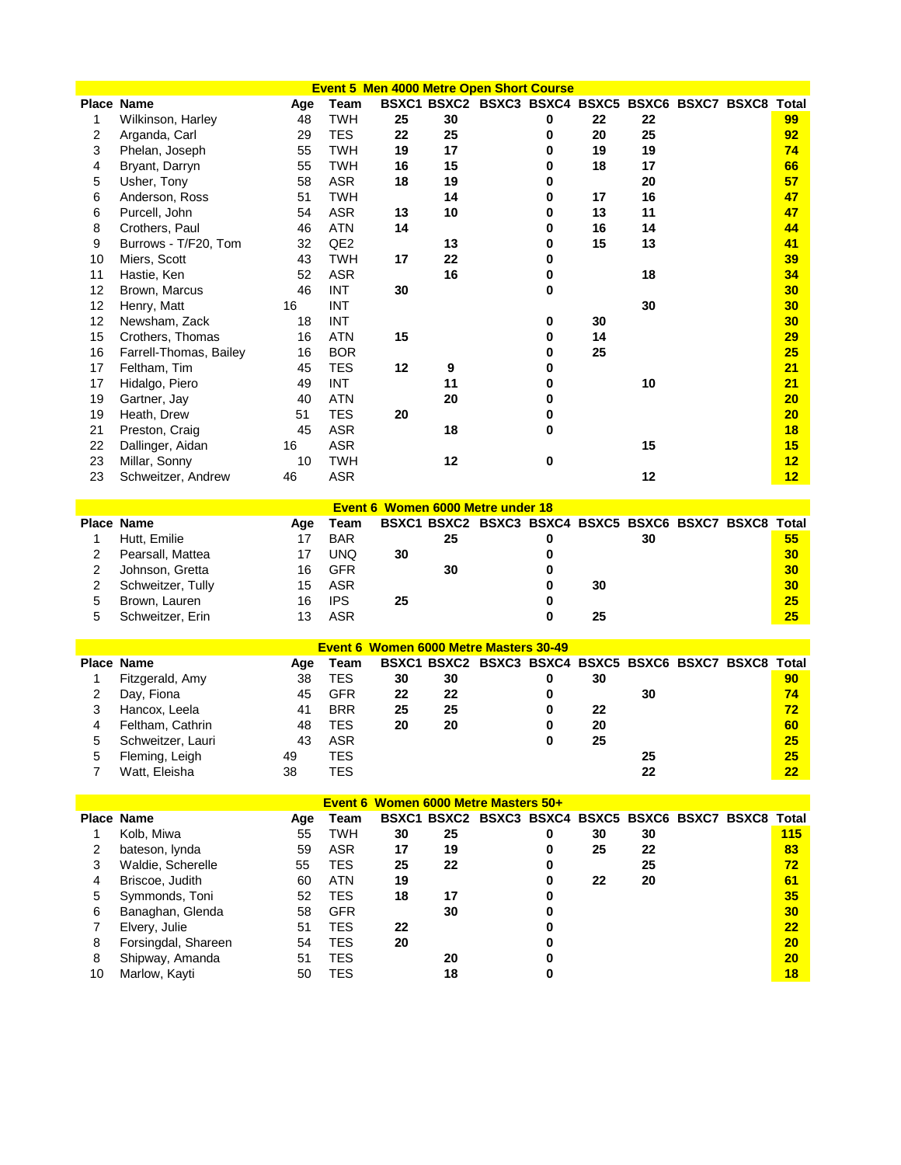| <b>Event 5 Men 4000 Metre Open Short Course</b><br>BSXC1 BSXC2 BSXC3 BSXC4 BSXC5 BSXC6 BSXC7 BSXC8 Total<br>Place Name |                                  |          |                   |                                        |                  |                                                       |        |    |    |  |  |                 |
|------------------------------------------------------------------------------------------------------------------------|----------------------------------|----------|-------------------|----------------------------------------|------------------|-------------------------------------------------------|--------|----|----|--|--|-----------------|
|                                                                                                                        |                                  | Age      | Team              |                                        |                  |                                                       |        |    |    |  |  |                 |
| 1                                                                                                                      | Wilkinson, Harley                | 48       | <b>TWH</b>        | 25                                     | 30               |                                                       | 0      | 22 | 22 |  |  | 99              |
| 2                                                                                                                      | Arganda, Carl                    | 29       | <b>TES</b>        | 22                                     | 25               |                                                       | 0      | 20 | 25 |  |  | 92              |
| 3                                                                                                                      | Phelan, Joseph                   | 55       | <b>TWH</b>        | 19                                     | 17               |                                                       | 0      | 19 | 19 |  |  | 74              |
| 4                                                                                                                      | Bryant, Darryn                   | 55       | <b>TWH</b>        | 16                                     | 15               |                                                       | 0      | 18 | 17 |  |  | 66              |
| 5                                                                                                                      | Usher, Tony                      | 58       | <b>ASR</b>        | 18                                     | 19               |                                                       | 0      |    | 20 |  |  | 57              |
| 6                                                                                                                      | Anderson, Ross                   | 51       | <b>TWH</b>        |                                        | 14               |                                                       | 0      | 17 | 16 |  |  | 47              |
| 6                                                                                                                      | Purcell, John                    | 54       | <b>ASR</b>        | 13                                     | 10               |                                                       | 0      | 13 | 11 |  |  | 47              |
| 8                                                                                                                      | Crothers, Paul                   | 46       | <b>ATN</b>        | 14                                     |                  |                                                       | 0      | 16 | 14 |  |  | 44              |
| 9                                                                                                                      | Burrows - T/F20, Tom             | 32       | QE <sub>2</sub>   |                                        | 13               |                                                       | 0      | 15 | 13 |  |  | 41              |
| 10                                                                                                                     | Miers, Scott                     | 43       | <b>TWH</b>        | 17                                     | 22               |                                                       | 0      |    |    |  |  | 39              |
| 11                                                                                                                     | Hastie, Ken                      | 52       | <b>ASR</b>        |                                        | 16               |                                                       | 0      |    | 18 |  |  | 34              |
| 12                                                                                                                     | Brown, Marcus                    | 46       | <b>INT</b>        | 30                                     |                  |                                                       | 0      |    |    |  |  | 30              |
| 12                                                                                                                     | Henry, Matt                      | 16       | <b>INT</b>        |                                        |                  |                                                       |        |    | 30 |  |  | 30              |
| 12                                                                                                                     | Newsham, Zack                    | 18       | <b>INT</b>        |                                        |                  |                                                       | 0      | 30 |    |  |  | 30              |
| 15                                                                                                                     | Crothers, Thomas                 | 16       | <b>ATN</b>        | 15                                     |                  |                                                       | 0      | 14 |    |  |  | 29              |
| 16                                                                                                                     | Farrell-Thomas, Bailey           | 16       | <b>BOR</b>        |                                        |                  |                                                       | 0      | 25 |    |  |  | 25              |
| 17                                                                                                                     | Feltham, Tim                     | 45       | <b>TES</b>        | 12                                     | $\boldsymbol{9}$ |                                                       | 0      |    |    |  |  | 21              |
| 17                                                                                                                     | Hidalgo, Piero                   | 49       | <b>INT</b>        |                                        | 11               |                                                       | 0      |    | 10 |  |  | 21              |
| 19                                                                                                                     | Gartner, Jay                     | 40       | <b>ATN</b>        |                                        | 20               |                                                       | 0      |    |    |  |  | 20              |
| 19                                                                                                                     | Heath, Drew                      | 51       | <b>TES</b>        | 20                                     |                  |                                                       | 0      |    |    |  |  | 20              |
| 21                                                                                                                     | Preston, Craig                   | 45       | <b>ASR</b>        |                                        | 18               |                                                       | 0      |    |    |  |  | 18              |
| 22                                                                                                                     | Dallinger, Aidan                 | 16       | <b>ASR</b>        |                                        |                  |                                                       |        |    | 15 |  |  | 15              |
| 23                                                                                                                     | Millar, Sonny                    | 10       | <b>TWH</b>        |                                        | 12               |                                                       | 0      |    |    |  |  | 12              |
| 23                                                                                                                     | Schweitzer, Andrew               | 46       | <b>ASR</b>        |                                        |                  |                                                       |        |    | 12 |  |  | 12 <sub>2</sub> |
|                                                                                                                        |                                  |          |                   |                                        |                  |                                                       |        |    |    |  |  |                 |
|                                                                                                                        |                                  |          |                   | Event 6 Women 6000 Metre under 18      |                  |                                                       |        |    |    |  |  |                 |
|                                                                                                                        | <b>Place Name</b>                | Age      | Team              |                                        |                  | BSXC1 BSXC2 BSXC3 BSXC4 BSXC5 BSXC6 BSXC7 BSXC8 Total |        |    |    |  |  |                 |
|                                                                                                                        |                                  |          |                   |                                        |                  |                                                       |        |    |    |  |  |                 |
|                                                                                                                        |                                  |          |                   |                                        |                  |                                                       |        |    |    |  |  |                 |
| 1                                                                                                                      | Hutt, Emilie                     | 17       | <b>BAR</b>        |                                        | 25               |                                                       | 0      |    | 30 |  |  | 55 <sub>5</sub> |
| 2                                                                                                                      | Pearsall, Mattea                 | 17       | <b>UNQ</b>        | 30                                     |                  |                                                       | 0      |    |    |  |  | 30 <sub>2</sub> |
| 2                                                                                                                      | Johnson, Gretta                  | 16       | <b>GFR</b>        |                                        | 30               |                                                       | 0      |    |    |  |  | 30              |
| 2                                                                                                                      | Schweitzer, Tully                | 15       | <b>ASR</b>        |                                        |                  |                                                       | 0      | 30 |    |  |  | 30              |
| 5                                                                                                                      | Brown, Lauren                    | 16       | <b>IPS</b>        | 25                                     |                  |                                                       | 0      |    |    |  |  | 25              |
| 5                                                                                                                      | Schweitzer, Erin                 | 13       | <b>ASR</b>        |                                        |                  |                                                       | 0      | 25 |    |  |  | 25              |
|                                                                                                                        |                                  |          |                   |                                        |                  |                                                       |        |    |    |  |  |                 |
|                                                                                                                        |                                  |          |                   | Event 6 Women 6000 Metre Masters 30-49 |                  |                                                       |        |    |    |  |  |                 |
|                                                                                                                        | Place Name                       | Age      | <b>Team</b>       |                                        |                  | BSXC1 BSXC2 BSXC3 BSXC4 BSXC5 BSXC6 BSXC7 BSXC8 Total |        |    |    |  |  |                 |
| 1                                                                                                                      | Fitzgerald, Amy                  | 38       | <b>TES</b>        | 30                                     | 30               |                                                       | 0      | 30 |    |  |  | 90              |
| 2                                                                                                                      | Day, Fiona                       | 45       | <b>GFR</b>        | 22                                     | 22               |                                                       | 0      |    | 30 |  |  | 74              |
| 3                                                                                                                      | Hancox, Leela                    | 41       | <b>BRR</b>        | 25                                     | 25               |                                                       | 0      | 22 |    |  |  | 72              |
| 4                                                                                                                      | Feltham, Cathrin                 | 48       | <b>TES</b>        | 20                                     | 20               |                                                       | 0      | 20 |    |  |  | 60              |
| 5                                                                                                                      | Schweitzer, Lauri                | 43       | ASR               |                                        |                  |                                                       | 0      | 25 |    |  |  | 25              |
| 5                                                                                                                      | Fleming, Leigh                   | 49       | <b>TES</b>        |                                        |                  |                                                       |        |    | 25 |  |  | 25              |
| $\overline{7}$                                                                                                         | Watt, Eleisha                    | 38       | <b>TES</b>        |                                        |                  |                                                       |        |    | 22 |  |  | 22              |
|                                                                                                                        |                                  |          |                   |                                        |                  |                                                       |        |    |    |  |  |                 |
|                                                                                                                        |                                  |          |                   | Event 6 Women 6000 Metre Masters 50+   |                  |                                                       |        |    |    |  |  |                 |
|                                                                                                                        | Place Name                       | Age      | <b>Team</b>       |                                        |                  | BSXC1 BSXC2 BSXC3 BSXC4 BSXC5 BSXC6 BSXC7 BSXC8 Total |        |    |    |  |  |                 |
| 1                                                                                                                      | Kolb, Miwa                       | 55       | <b>TWH</b>        | 30                                     | 25               |                                                       | 0      | 30 | 30 |  |  | 115             |
| 2                                                                                                                      | bateson, lynda                   | 59       | ASR               | 17                                     | 19               |                                                       | 0      | 25 | 22 |  |  | 83              |
| 3                                                                                                                      | Waldie, Scherelle                | 55       | <b>TES</b>        | 25                                     | 22               |                                                       | 0      |    | 25 |  |  | 72              |
| 4                                                                                                                      | Briscoe, Judith                  | 60       | <b>ATN</b>        | 19                                     |                  |                                                       | 0      | 22 | 20 |  |  | 61              |
| 5                                                                                                                      | Symmonds, Toni                   | 52       | TES               | 18                                     | 17               |                                                       | 0      |    |    |  |  | 35              |
| 6                                                                                                                      | Banaghan, Glenda                 | 58       | <b>GFR</b>        |                                        | 30               |                                                       | 0      |    |    |  |  | 30              |
| $\overline{7}$                                                                                                         | Elvery, Julie                    | 51       | <b>TES</b>        | 22                                     |                  |                                                       | 0      |    |    |  |  | 22              |
| 8                                                                                                                      | Forsingdal, Shareen              | 54       | <b>TES</b>        | 20                                     |                  |                                                       | 0      |    |    |  |  | 20              |
| 8<br>10                                                                                                                | Shipway, Amanda<br>Marlow, Kayti | 51<br>50 | <b>TES</b><br>TES |                                        | 20<br>18         |                                                       | 0<br>0 |    |    |  |  | 20<br>18        |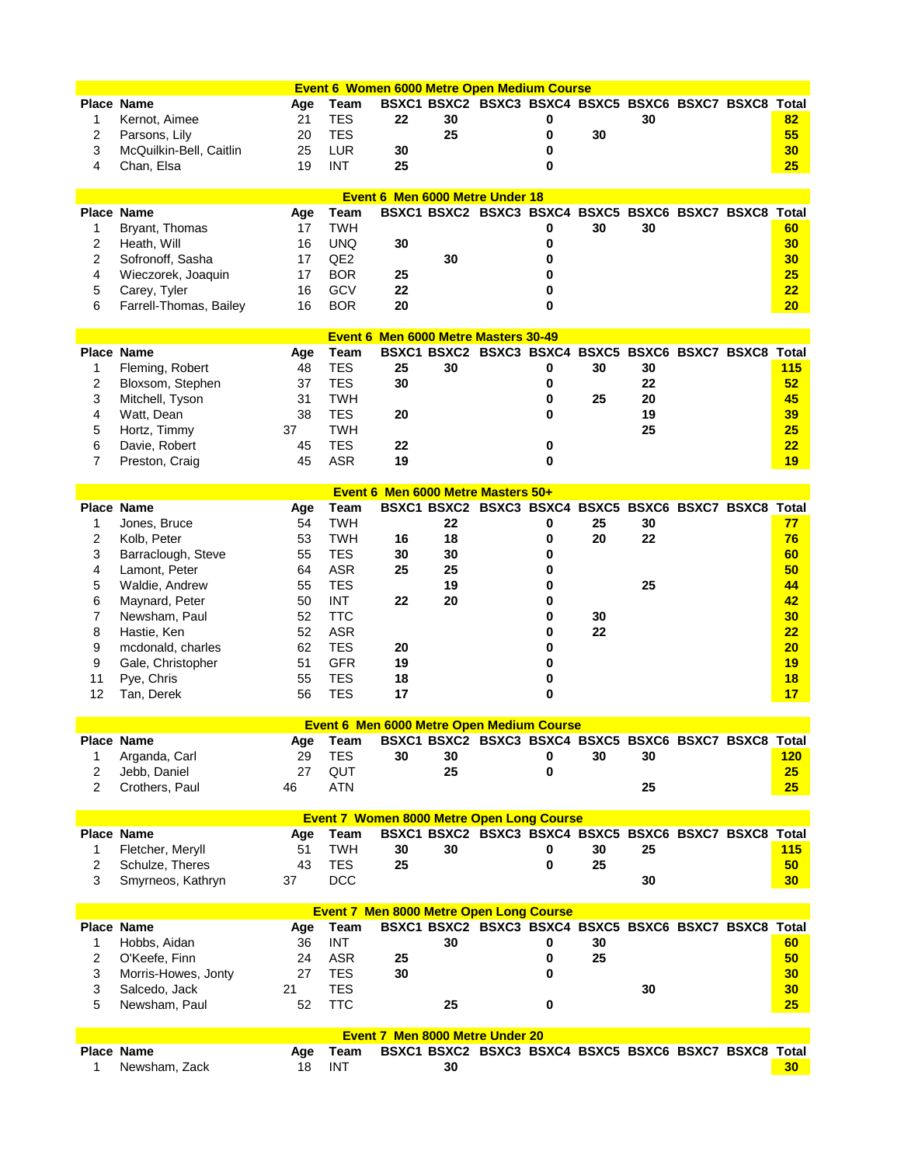| Event 6 Women 6000 Metre Open Medium Course |                         |     |                 |                                                  |    |                                                       |   |    |    |  |  |                 |
|---------------------------------------------|-------------------------|-----|-----------------|--------------------------------------------------|----|-------------------------------------------------------|---|----|----|--|--|-----------------|
| <b>Place Name</b>                           |                         | Age | Team            |                                                  |    | BSXC1 BSXC2 BSXC3 BSXC4 BSXC5 BSXC6 BSXC7 BSXC8 Total |   |    |    |  |  |                 |
| 1                                           | Kernot, Aimee           | 21  | <b>TES</b>      | 22                                               | 30 |                                                       | 0 |    | 30 |  |  | 82              |
| 2                                           | Parsons, Lily           | 20  | <b>TES</b>      |                                                  | 25 |                                                       | 0 | 30 |    |  |  | 55              |
| 3                                           | McQuilkin-Bell, Caitlin | 25  | <b>LUR</b>      | 30                                               |    |                                                       | 0 |    |    |  |  | 30              |
| 4                                           | Chan, Elsa              | 19  | <b>INT</b>      | 25                                               |    |                                                       | 0 |    |    |  |  | 25              |
|                                             |                         |     |                 |                                                  |    |                                                       |   |    |    |  |  |                 |
|                                             |                         |     |                 | Event 6 Men 6000 Metre Under 18                  |    |                                                       |   |    |    |  |  |                 |
| <b>Place Name</b>                           |                         | Age | Team            |                                                  |    | BSXC1 BSXC2 BSXC3 BSXC4 BSXC5 BSXC6 BSXC7 BSXC8 Total |   |    |    |  |  |                 |
| 1                                           | Bryant, Thomas          | 17  | <b>TWH</b>      |                                                  |    |                                                       | 0 | 30 | 30 |  |  | 60              |
| 2                                           | Heath, Will             | 16  | <b>UNQ</b>      | 30                                               |    |                                                       | 0 |    |    |  |  | 30              |
| 2                                           | Sofronoff, Sasha        | 17  | QE <sub>2</sub> |                                                  | 30 |                                                       | 0 |    |    |  |  | 30              |
| 4                                           | Wieczorek, Joaquin      | 17  | <b>BOR</b>      | 25                                               |    |                                                       |   |    |    |  |  | 25              |
| 5                                           | Carey, Tyler            | 16  | GCV             | 22                                               |    |                                                       | 0 |    |    |  |  | 22              |
| 6                                           | Farrell-Thomas, Bailey  | 16  | <b>BOR</b>      | 20                                               |    |                                                       | 0 |    |    |  |  | 20              |
|                                             |                         |     |                 |                                                  |    |                                                       |   |    |    |  |  |                 |
|                                             |                         |     |                 | Event 6 Men 6000 Metre Masters 30-49             |    |                                                       |   |    |    |  |  |                 |
| <b>Place Name</b>                           |                         | Age | Team            |                                                  |    | BSXC1 BSXC2 BSXC3 BSXC4 BSXC5 BSXC6 BSXC7 BSXC8 Total |   |    |    |  |  |                 |
| 1                                           | Fleming, Robert         | 48  | <b>TES</b>      | 25                                               | 30 |                                                       | 0 | 30 | 30 |  |  | 115             |
| 2                                           | Bloxsom, Stephen        | 37  | <b>TES</b>      | 30                                               |    |                                                       | 0 |    | 22 |  |  | 52              |
| 3                                           | Mitchell, Tyson         | 31  | <b>TWH</b>      |                                                  |    |                                                       | 0 | 25 | 20 |  |  | 45              |
| 4                                           | Watt, Dean              | 38  | <b>TES</b>      | 20                                               |    |                                                       | 0 |    | 19 |  |  | 39              |
| 5                                           | Hortz, Timmy            | 37  | <b>TWH</b>      |                                                  |    |                                                       |   |    | 25 |  |  | 25              |
| 6                                           | Davie, Robert           | 45  | <b>TES</b>      | 22                                               |    |                                                       | 0 |    |    |  |  | 22              |
| $\overline{7}$                              | Preston, Craig          | 45  | <b>ASR</b>      | 19                                               |    |                                                       | U |    |    |  |  | 19              |
|                                             |                         |     |                 |                                                  |    |                                                       |   |    |    |  |  |                 |
|                                             |                         |     |                 | Event 6 Men 6000 Metre Masters 50+               |    |                                                       |   |    |    |  |  |                 |
| <b>Place Name</b>                           |                         | Age | Team            |                                                  |    | BSXC1 BSXC2 BSXC3 BSXC4 BSXC5 BSXC6 BSXC7 BSXC8 Total |   |    |    |  |  |                 |
| 1                                           | Jones, Bruce            | 54  | <b>TWH</b>      |                                                  | 22 |                                                       | 0 | 25 | 30 |  |  | 77              |
| 2                                           | Kolb, Peter             | 53  | <b>TWH</b>      | 16                                               | 18 |                                                       | 0 | 20 | 22 |  |  | 76              |
| 3                                           | Barraclough, Steve      | 55  | <b>TES</b>      | 30                                               | 30 |                                                       | 0 |    |    |  |  | 60              |
| 4                                           | Lamont, Peter           | 64  | <b>ASR</b>      | 25                                               | 25 |                                                       | 0 |    |    |  |  | 50              |
| 5                                           | Waldie, Andrew          | 55  | <b>TES</b>      |                                                  | 19 |                                                       | 0 |    | 25 |  |  | 44              |
| 6                                           | Maynard, Peter          | 50  | <b>INT</b>      | 22                                               | 20 |                                                       | 0 |    |    |  |  | 42              |
| 7                                           | Newsham, Paul           | 52  | <b>TTC</b>      |                                                  |    |                                                       | 0 | 30 |    |  |  | 30              |
| 8                                           | Hastie, Ken             | 52  | <b>ASR</b>      |                                                  |    |                                                       | 0 | 22 |    |  |  | 22              |
| 9                                           | mcdonald, charles       | 62  | <b>TES</b>      | 20                                               |    |                                                       | 0 |    |    |  |  | 20              |
| 9                                           | Gale, Christopher       | 51  | <b>GFR</b>      | 19                                               |    |                                                       | 0 |    |    |  |  | 19              |
| 11                                          | Pye, Chris              | 55  | <b>TES</b>      | 18                                               |    |                                                       | 0 |    |    |  |  | 18              |
| 12                                          | Tan, Derek              | 56  | <b>TES</b>      | 17                                               |    |                                                       | 0 |    |    |  |  | 17              |
|                                             |                         |     |                 |                                                  |    |                                                       |   |    |    |  |  |                 |
|                                             |                         |     |                 | <b>Event 6 Men 6000 Metre Open Medium Course</b> |    |                                                       |   |    |    |  |  |                 |
| Place Name                                  |                         | Age | Team            |                                                  |    | BSXC1 BSXC2 BSXC3 BSXC4 BSXC5 BSXC6 BSXC7 BSXC8       |   |    |    |  |  | Total           |
| 1                                           | Arganda, Carl           | 29  | <b>TES</b>      | 30                                               | 30 |                                                       | 0 | 30 | 30 |  |  | 120             |
| 2                                           | Jebb, Daniel            | 27  | QUT             |                                                  | 25 |                                                       | 0 |    |    |  |  | 25              |
| 2                                           | Crothers, Paul          | 46  | <b>ATN</b>      |                                                  |    |                                                       |   |    | 25 |  |  | 25              |
|                                             |                         |     |                 |                                                  |    |                                                       |   |    |    |  |  |                 |
|                                             |                         |     |                 | <b>Event 7 Women 8000 Metre Open Long Course</b> |    |                                                       |   |    |    |  |  |                 |
| <b>Place Name</b>                           |                         | Age | Team            |                                                  |    | BSXC1 BSXC2 BSXC3 BSXC4 BSXC5 BSXC6 BSXC7 BSXC8 Total |   |    |    |  |  |                 |
| 1                                           | Fletcher, Meryll        | 51  | <b>TWH</b>      | 30                                               | 30 |                                                       | 0 | 30 | 25 |  |  | 115             |
| 2                                           | Schulze, Theres         | 43  | <b>TES</b>      | 25                                               |    |                                                       | 0 | 25 |    |  |  | 50              |
| 3                                           | Smyrneos, Kathryn       | 37  | <b>DCC</b>      |                                                  |    |                                                       |   |    | 30 |  |  | 30              |
|                                             |                         |     |                 |                                                  |    |                                                       |   |    |    |  |  |                 |
|                                             |                         |     |                 | <b>Event 7 Men 8000 Metre Open Long Course</b>   |    |                                                       |   |    |    |  |  |                 |
| Place Name                                  |                         | Age | Team            |                                                  |    | BSXC1 BSXC2 BSXC3 BSXC4 BSXC5 BSXC6 BSXC7 BSXC8 Total |   |    |    |  |  |                 |
| 1                                           | Hobbs, Aidan            | 36  | <b>INT</b>      |                                                  | 30 |                                                       | 0 | 30 |    |  |  | 60              |
| 2                                           | O'Keefe, Finn           | 24  | <b>ASR</b>      | 25                                               |    |                                                       | 0 | 25 |    |  |  | 50              |
| 3                                           | Morris-Howes, Jonty     | 27  | <b>TES</b>      | 30                                               |    |                                                       | 0 |    |    |  |  | 30              |
| 3                                           | Salcedo, Jack           | 21  | <b>TES</b>      |                                                  |    |                                                       |   |    | 30 |  |  | 30              |
| 5                                           | Newsham, Paul           | 52  | <b>TTC</b>      |                                                  | 25 |                                                       | 0 |    |    |  |  | 25              |
|                                             |                         |     |                 |                                                  |    |                                                       |   |    |    |  |  |                 |
|                                             |                         |     |                 | <b>Event 7 Men 8000 Metre Under 20</b>           |    |                                                       |   |    |    |  |  |                 |
| <b>Place Name</b>                           |                         | Age | Team            |                                                  |    | BSXC1 BSXC2 BSXC3 BSXC4 BSXC5 BSXC6 BSXC7 BSXC8 Total |   |    |    |  |  |                 |
| 1                                           | Newsham, Zack           | 18  | <b>INT</b>      |                                                  | 30 |                                                       |   |    |    |  |  | 30 <sub>1</sub> |